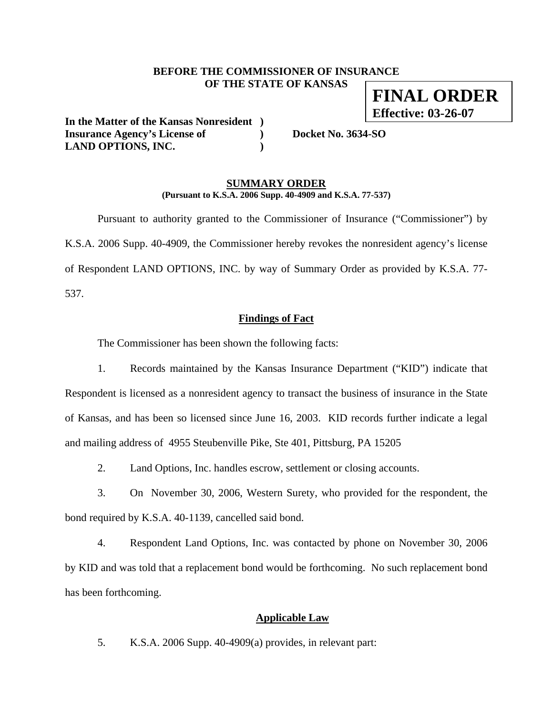### **BEFORE THE COMMISSIONER OF INSURANCE OF THE STATE OF KANSAS**

**In the Matter of the Kansas Nonresident ) Insurance Agency's License of ) Docket No. 3634-SO LAND OPTIONS, INC. )** 

#### **SUMMARY ORDER (Pursuant to K.S.A. 2006 Supp. 40-4909 and K.S.A. 77-537)**

 Pursuant to authority granted to the Commissioner of Insurance ("Commissioner") by K.S.A. 2006 Supp. 40-4909, the Commissioner hereby revokes the nonresident agency's license of Respondent LAND OPTIONS, INC. by way of Summary Order as provided by K.S.A. 77- 537.

#### **Findings of Fact**

The Commissioner has been shown the following facts:

1. Records maintained by the Kansas Insurance Department ("KID") indicate that Respondent is licensed as a nonresident agency to transact the business of insurance in the State of Kansas, and has been so licensed since June 16, 2003. KID records further indicate a legal and mailing address of 4955 Steubenville Pike, Ste 401, Pittsburg, PA 15205

2. Land Options, Inc. handles escrow, settlement or closing accounts.

3. On November 30, 2006, Western Surety, who provided for the respondent, the bond required by K.S.A. 40-1139, cancelled said bond.

4. Respondent Land Options, Inc. was contacted by phone on November 30, 2006 by KID and was told that a replacement bond would be forthcoming. No such replacement bond has been forthcoming.

### **Applicable Law**

5. K.S.A. 2006 Supp. 40-4909(a) provides, in relevant part:

**FINAL ORDER Effective: 03-26-07**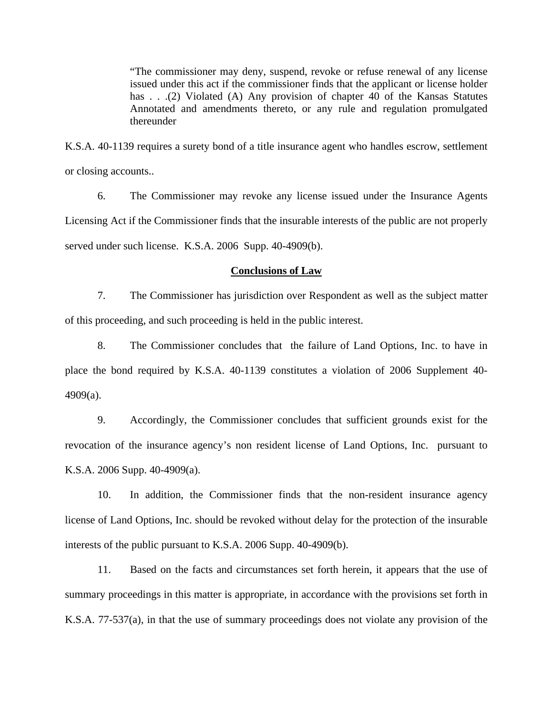"The commissioner may deny, suspend, revoke or refuse renewal of any license issued under this act if the commissioner finds that the applicant or license holder has . . .(2) Violated (A) Any provision of chapter 40 of the Kansas Statutes Annotated and amendments thereto, or any rule and regulation promulgated thereunder

K.S.A. 40-1139 requires a surety bond of a title insurance agent who handles escrow, settlement or closing accounts..

6. The Commissioner may revoke any license issued under the Insurance Agents Licensing Act if the Commissioner finds that the insurable interests of the public are not properly served under such license. K.S.A. 2006 Supp. 40-4909(b).

#### **Conclusions of Law**

7. The Commissioner has jurisdiction over Respondent as well as the subject matter of this proceeding, and such proceeding is held in the public interest.

8. The Commissioner concludes that the failure of Land Options, Inc. to have in place the bond required by K.S.A. 40-1139 constitutes a violation of 2006 Supplement 40- 4909(a).

9. Accordingly, the Commissioner concludes that sufficient grounds exist for the revocation of the insurance agency's non resident license of Land Options, Inc. pursuant to K.S.A. 2006 Supp. 40-4909(a).

10. In addition, the Commissioner finds that the non-resident insurance agency license of Land Options, Inc. should be revoked without delay for the protection of the insurable interests of the public pursuant to K.S.A. 2006 Supp. 40-4909(b).

11. Based on the facts and circumstances set forth herein, it appears that the use of summary proceedings in this matter is appropriate, in accordance with the provisions set forth in K.S.A. 77-537(a), in that the use of summary proceedings does not violate any provision of the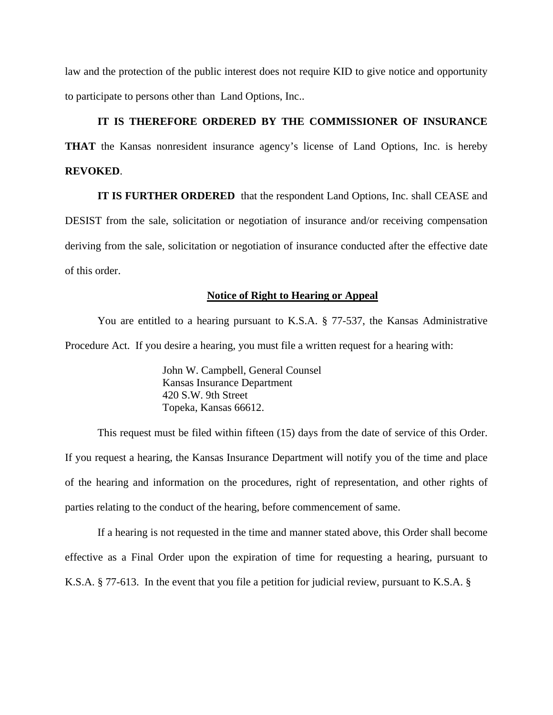law and the protection of the public interest does not require KID to give notice and opportunity to participate to persons other than Land Options, Inc..

### **IT IS THEREFORE ORDERED BY THE COMMISSIONER OF INSURANCE**

**THAT** the Kansas nonresident insurance agency's license of Land Options, Inc. is hereby **REVOKED**.

**IT IS FURTHER ORDERED** that the respondent Land Options, Inc. shall CEASE and DESIST from the sale, solicitation or negotiation of insurance and/or receiving compensation deriving from the sale, solicitation or negotiation of insurance conducted after the effective date of this order.

#### **Notice of Right to Hearing or Appeal**

You are entitled to a hearing pursuant to K.S.A. § 77-537, the Kansas Administrative Procedure Act. If you desire a hearing, you must file a written request for a hearing with:

> John W. Campbell, General Counsel Kansas Insurance Department 420 S.W. 9th Street Topeka, Kansas 66612.

This request must be filed within fifteen (15) days from the date of service of this Order. If you request a hearing, the Kansas Insurance Department will notify you of the time and place of the hearing and information on the procedures, right of representation, and other rights of parties relating to the conduct of the hearing, before commencement of same.

If a hearing is not requested in the time and manner stated above, this Order shall become effective as a Final Order upon the expiration of time for requesting a hearing, pursuant to K.S.A. § 77-613. In the event that you file a petition for judicial review, pursuant to K.S.A. §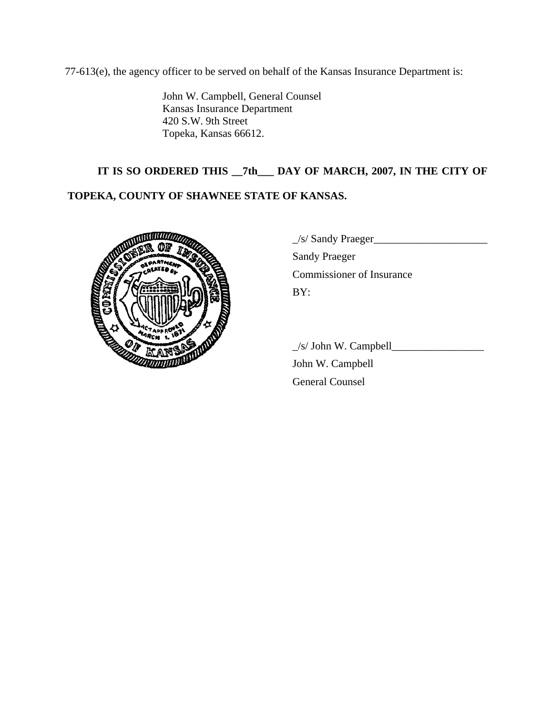77-613(e), the agency officer to be served on behalf of the Kansas Insurance Department is:

John W. Campbell, General Counsel Kansas Insurance Department 420 S.W. 9th Street Topeka, Kansas 66612.

# **IT IS SO ORDERED THIS \_\_7th\_\_\_ DAY OF MARCH, 2007, IN THE CITY OF**

# **TOPEKA, COUNTY OF SHAWNEE STATE OF KANSAS.**



|    | $\angle$ s/ Sandy Praeger |
|----|---------------------------|
|    | <b>Sandy Praeger</b>      |
|    | Commissioner of Insurance |
| 簡陋 | BY:                       |
|    |                           |

 $\angle$ s/ John W. Campbell $\angle$ 

 John W. Campbell General Counsel